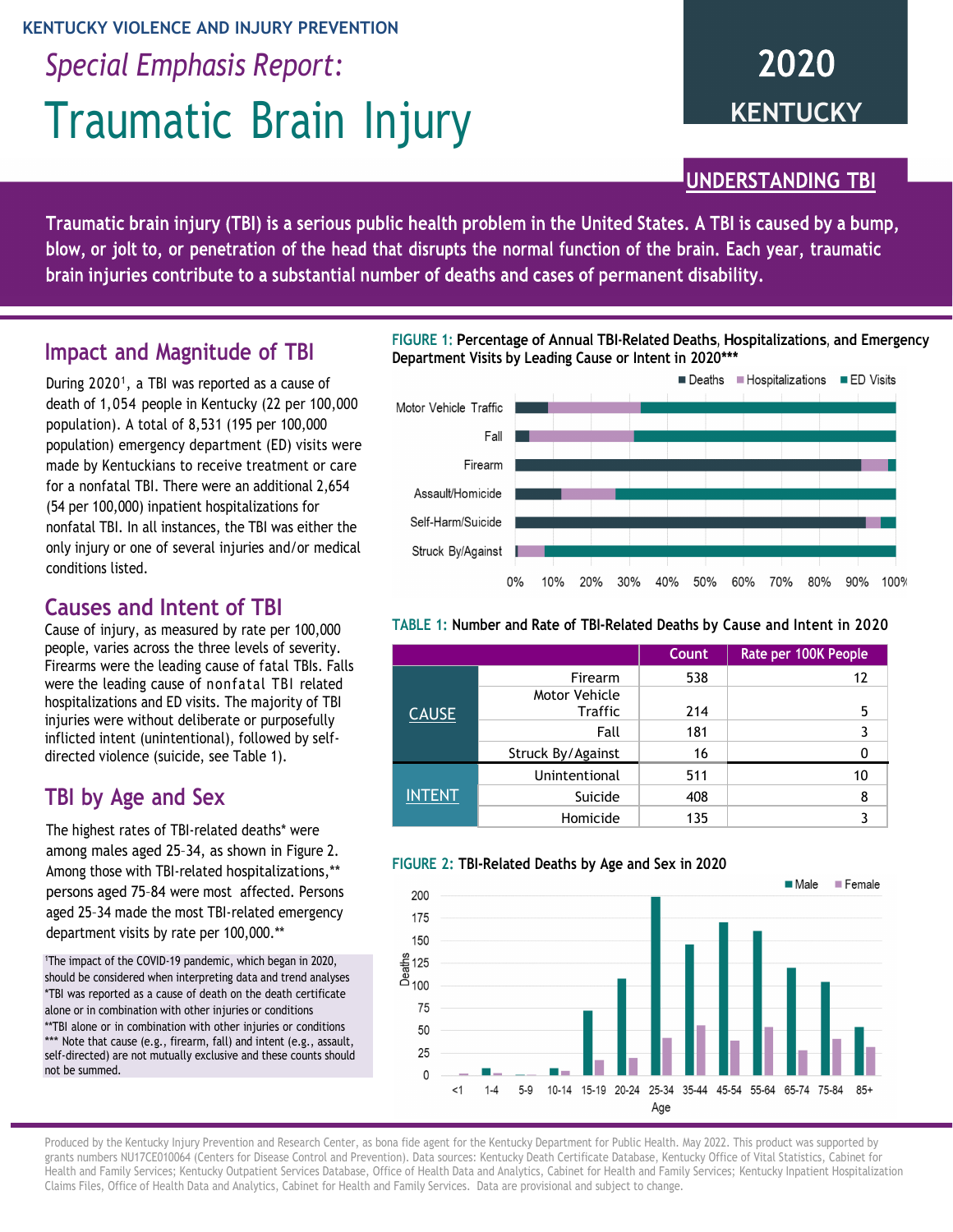#### **KENTUCKY VIOLENCE AND INJURY PREVENTION**

*Special Emphasis Report:*

# Traumatic Brain Injury

# 2020 **KENTUCKY**

UNDERSTANDING TBI

Traumatic brain injury (TBI) is a serious public health problem in the United States. A TBI is caused by a bump, blow, or jolt to, or penetration of the head that disrupts the normal function of the brain. Each year, traumatic brain injuries contribute to a substantial number of deaths and cases of permanent disability.

### **Impact and Magnitude of TBI**

During 2020<sup>1</sup>, a TBI was reported as a cause of death of 1,054 people in Kentucky (22 per 100,000 population). A total of 8,531 (195 per 100,000 population) emergency department (ED) visits were made by Kentuckians to receive treatment or care for a nonfatal TBI. There were an additional 2,654 (54 per 100,000) inpatient hospitalizations for nonfatal TBI. In all instances, the TBI was either the only injury or one of several injuries and/or medical conditions listed.

# **Causes and Intent of TBI**

Cause of injury, as measured by rate per 100,000 people, varies across the three levels of severity. Firearms were the leading cause of fatal TBIs. Falls were the leading cause of nonfatal TBI related hospitalizations and ED visits. The majority of TBI injuries were without deliberate or purposefully inflicted intent (unintentional), followed by selfdirected violence (suicide, see Table 1).

# **TBI by Age and Sex**

The highest rates of TBI-related deaths\* were among males aged 25–34, as shown in Figure 2. Among those with TBI-related hospitalizations,\*\* persons aged 75–84 were most affected. Persons aged 25–34 made the most TBI-related emergency department visits by rate per 100,000.\*\*

1 The impact of the COVID-19 pandemic, which began in 2020, should be considered when interpreting data and trend analyses \*TBI was reported as a cause of death on the death certificate alone or in combination with other injuries or conditions \*\*TBI alone or in combination with other injuries or conditions \*\*\* Note that cause (e.g., firearm, fall) and intent (e.g., assault, self-directed) are not mutually exclusive and these counts should not be summed.

**FIGURE 1: Percentage of Annual TBI-Related Deaths, Hospitalizations, and Emergency Department Visits by Leading Cause or Intent in 2020\*\*\***



#### **TABLE 1: Number and Rate of TBI-Related Deaths by Cause and Intent in 2020**

|               |                                        | Count | Rate per 100K People |  |
|---------------|----------------------------------------|-------|----------------------|--|
| <b>CAUSE</b>  | Firearm                                | 538   | 12                   |  |
|               | <b>Motor Vehicle</b><br><b>Traffic</b> | 214   | 5                    |  |
|               | Fall                                   | 181   | 3                    |  |
|               | Struck By/Against                      | 16    |                      |  |
| <b>INTENT</b> | Unintentional                          | 511   | 10                   |  |
|               | Suicide                                | 408   | 8                    |  |
|               | Homicide                               | 135   |                      |  |

#### **FIGURE 2: TBI-Related Deaths by Age and Sex in 2020**



Produced by the Kentucky Injury Prevention and Research Center, as bona fide agent for the Kentucky Department for Public Health. May 2022. This product was supported by grants numbers NU17CE010064 (Centers for Disease Control and Prevention). Data sources: Kentucky Death Certificate Database, Kentucky Office of Vital Statistics, Cabinet for Health and Family Services; Kentucky Outpatient Services Database, Office of Health Data and Analytics, Cabinet for Health and Family Services; Kentucky Inpatient Hospitalization Claims Files, Office of Health Data and Analytics, Cabinet for Health and Family Services. Data are provisional and subject to change.